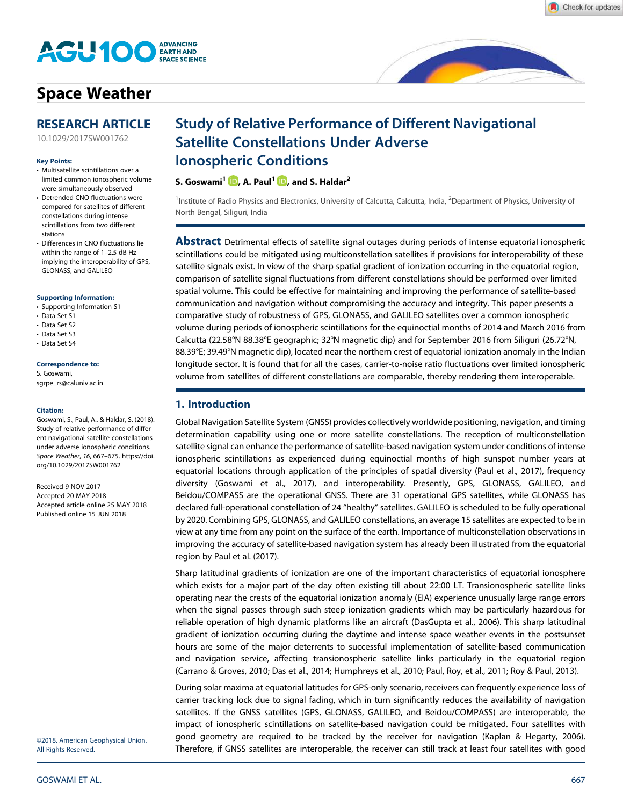

# Space Weather

## RESEARCH ARTICLE

10.1029/2017SW001762

#### Key Points:

- Multisatellite scintillations over a limited common ionospheric volume were simultaneously observed
- Detrended CNO fluctuations were compared for satellites of different constellations during intense scintillations from two different stations
- Differences in CNO fluctuations lie within the range of 1–2.5 dB Hz implying the interoperability of GPS, GLONASS, and GALILEO

#### Supporting Information:

- Supporting Information S1
- Data Set S1
- Data Set S2
- Data Set S3
- Data Set S4

#### Correspondence to:

S. Goswami, sgrpe\_rs@caluniv.ac.in

#### Citation:

Goswami, S., Paul, A., & Haldar, S. (2018). Study of relative performance of different navigational satellite constellations under adverse ionospheric conditions. Space Weather, 16, 667–675. https://doi. org/10.1029/2017SW001762

Received 9 NOV 2017 Accepted 20 MAY 2018 Accepted article online 25 MAY 2018 Published online 15 JUN 2018

©2018. American Geophysical Union. All Rights Reserved.

# Study of Relative Performance of Different Navigational Satellite Constellations Under Adverse Ionospheric Conditions

## S. Goswami<sup>1</sup> (D, A. Paul<sup>1</sup> (D, and S. Haldar<sup>2</sup>

<sup>1</sup>Institute of Radio Physics and Electronics, University of Calcutta, Calcutta, India, <sup>2</sup>Department of Physics, University of North Bengal, Siliguri, India

**Abstract** Detrimental effects of satellite signal outages during periods of intense equatorial ionospheric scintillations could be mitigated using multiconstellation satellites if provisions for interoperability of these satellite signals exist. In view of the sharp spatial gradient of ionization occurring in the equatorial region, comparison of satellite signal fluctuations from different constellations should be performed over limited spatial volume. This could be effective for maintaining and improving the performance of satellite-based communication and navigation without compromising the accuracy and integrity. This paper presents a comparative study of robustness of GPS, GLONASS, and GALILEO satellites over a common ionospheric volume during periods of ionospheric scintillations for the equinoctial months of 2014 and March 2016 from Calcutta (22.58°N 88.38°E geographic; 32°N magnetic dip) and for September 2016 from Siliguri (26.72°N, 88.39°E; 39.49°N magnetic dip), located near the northern crest of equatorial ionization anomaly in the Indian longitude sector. It is found that for all the cases, carrier-to-noise ratio fluctuations over limited ionospheric volume from satellites of different constellations are comparable, thereby rendering them interoperable.

## 1. Introduction

Global Navigation Satellite System (GNSS) provides collectively worldwide positioning, navigation, and timing determination capability using one or more satellite constellations. The reception of multiconstellation satellite signal can enhance the performance of satellite-based navigation system under conditions of intense ionospheric scintillations as experienced during equinoctial months of high sunspot number years at equatorial locations through application of the principles of spatial diversity (Paul et al., 2017), frequency diversity (Goswami et al., 2017), and interoperability. Presently, GPS, GLONASS, GALILEO, and Beidou/COMPASS are the operational GNSS. There are 31 operational GPS satellites, while GLONASS has declared full-operational constellation of 24 "healthy" satellites. GALILEO is scheduled to be fully operational by 2020. Combining GPS, GLONASS, and GALILEO constellations, an average 15 satellites are expected to be in view at any time from any point on the surface of the earth. Importance of multiconstellation observations in improving the accuracy of satellite-based navigation system has already been illustrated from the equatorial region by Paul et al. (2017).

Sharp latitudinal gradients of ionization are one of the important characteristics of equatorial ionosphere which exists for a major part of the day often existing till about 22:00 LT. Transionospheric satellite links operating near the crests of the equatorial ionization anomaly (EIA) experience unusually large range errors when the signal passes through such steep ionization gradients which may be particularly hazardous for reliable operation of high dynamic platforms like an aircraft (DasGupta et al., 2006). This sharp latitudinal gradient of ionization occurring during the daytime and intense space weather events in the postsunset hours are some of the major deterrents to successful implementation of satellite-based communication and navigation service, affecting transionospheric satellite links particularly in the equatorial region (Carrano & Groves, 2010; Das et al., 2014; Humphreys et al., 2010; Paul, Roy, et al., 2011; Roy & Paul, 2013).

During solar maxima at equatorial latitudes for GPS-only scenario, receivers can frequently experience loss of carrier tracking lock due to signal fading, which in turn significantly reduces the availability of navigation satellites. If the GNSS satellites (GPS, GLONASS, GALILEO, and Beidou/COMPASS) are interoperable, the impact of ionospheric scintillations on satellite-based navigation could be mitigated. Four satellites with good geometry are required to be tracked by the receiver for navigation (Kaplan & Hegarty, 2006). Therefore, if GNSS satellites are interoperable, the receiver can still track at least four satellites with good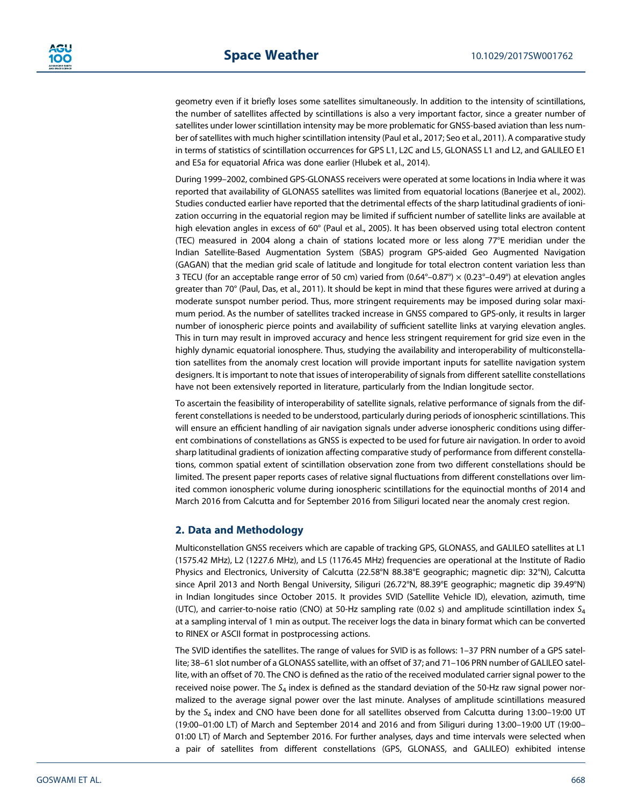geometry even if it briefly loses some satellites simultaneously. In addition to the intensity of scintillations, the number of satellites affected by scintillations is also a very important factor, since a greater number of satellites under lower scintillation intensity may be more problematic for GNSS-based aviation than less number of satellites with much higher scintillation intensity (Paul et al., 2017; Seo et al., 2011). A comparative study in terms of statistics of scintillation occurrences for GPS L1, L2C and L5, GLONASS L1 and L2, and GALILEO E1 and E5a for equatorial Africa was done earlier (Hlubek et al., 2014).

During 1999–2002, combined GPS-GLONASS receivers were operated at some locations in India where it was reported that availability of GLONASS satellites was limited from equatorial locations (Banerjee et al., 2002). Studies conducted earlier have reported that the detrimental effects of the sharp latitudinal gradients of ionization occurring in the equatorial region may be limited if sufficient number of satellite links are available at high elevation angles in excess of 60° (Paul et al., 2005). It has been observed using total electron content (TEC) measured in 2004 along a chain of stations located more or less along 77°E meridian under the Indian Satellite-Based Augmentation System (SBAS) program GPS-aided Geo Augmented Navigation (GAGAN) that the median grid scale of latitude and longitude for total electron content variation less than 3 TECU (for an acceptable range error of 50 cm) varied from (0.64°–0.87°) × (0.23°–0.49°) at elevation angles greater than 70° (Paul, Das, et al., 2011). It should be kept in mind that these figures were arrived at during a moderate sunspot number period. Thus, more stringent requirements may be imposed during solar maximum period. As the number of satellites tracked increase in GNSS compared to GPS-only, it results in larger number of ionospheric pierce points and availability of sufficient satellite links at varying elevation angles. This in turn may result in improved accuracy and hence less stringent requirement for grid size even in the highly dynamic equatorial ionosphere. Thus, studying the availability and interoperability of multiconstellation satellites from the anomaly crest location will provide important inputs for satellite navigation system designers. It is important to note that issues of interoperability of signals from different satellite constellations have not been extensively reported in literature, particularly from the Indian longitude sector.

To ascertain the feasibility of interoperability of satellite signals, relative performance of signals from the different constellations is needed to be understood, particularly during periods of ionospheric scintillations. This will ensure an efficient handling of air navigation signals under adverse ionospheric conditions using different combinations of constellations as GNSS is expected to be used for future air navigation. In order to avoid sharp latitudinal gradients of ionization affecting comparative study of performance from different constellations, common spatial extent of scintillation observation zone from two different constellations should be limited. The present paper reports cases of relative signal fluctuations from different constellations over limited common ionospheric volume during ionospheric scintillations for the equinoctial months of 2014 and March 2016 from Calcutta and for September 2016 from Siliguri located near the anomaly crest region.

### 2. Data and Methodology

Multiconstellation GNSS receivers which are capable of tracking GPS, GLONASS, and GALILEO satellites at L1 (1575.42 MHz), L2 (1227.6 MHz), and L5 (1176.45 MHz) frequencies are operational at the Institute of Radio Physics and Electronics, University of Calcutta (22.58°N 88.38°E geographic; magnetic dip: 32°N), Calcutta since April 2013 and North Bengal University, Siliguri (26.72°N, 88.39°E geographic; magnetic dip 39.49°N) in Indian longitudes since October 2015. It provides SVID (Satellite Vehicle ID), elevation, azimuth, time (UTC), and carrier-to-noise ratio (CNO) at 50-Hz sampling rate (0.02 s) and amplitude scintillation index  $S_4$ at a sampling interval of 1 min as output. The receiver logs the data in binary format which can be converted to RINEX or ASCII format in postprocessing actions.

The SVID identifies the satellites. The range of values for SVID is as follows: 1–37 PRN number of a GPS satellite; 38–61 slot number of a GLONASS satellite, with an offset of 37; and 71–106 PRN number of GALILEO satellite, with an offset of 70. The CNO is defined as the ratio of the received modulated carrier signal power to the received noise power. The  $S_4$  index is defined as the standard deviation of the 50-Hz raw signal power normalized to the average signal power over the last minute. Analyses of amplitude scintillations measured by the  $S_4$  index and CNO have been done for all satellites observed from Calcutta during 13:00-19:00 UT (19:00–01:00 LT) of March and September 2014 and 2016 and from Siliguri during 13:00–19:00 UT (19:00– 01:00 LT) of March and September 2016. For further analyses, days and time intervals were selected when a pair of satellites from different constellations (GPS, GLONASS, and GALILEO) exhibited intense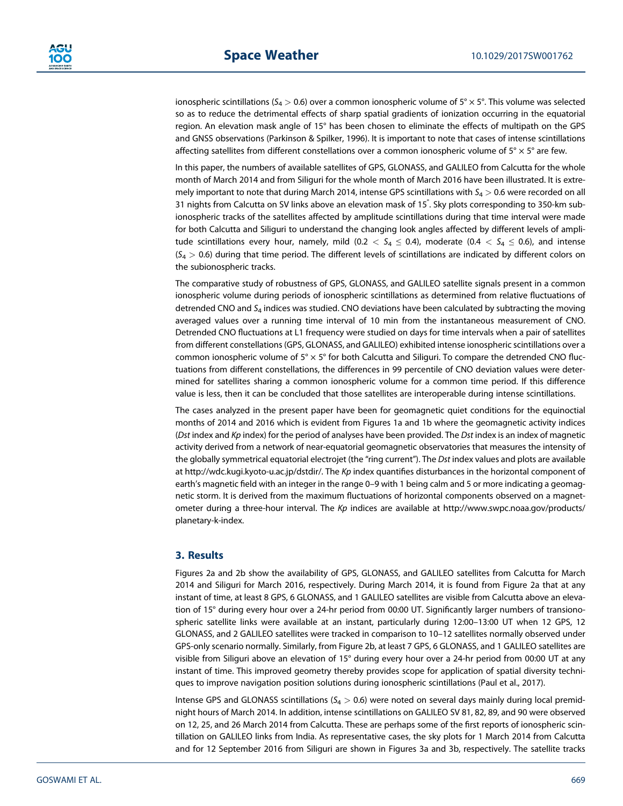ionospheric scintillations ( $S_4 > 0.6$ ) over a common ionospheric volume of  $5^\circ \times 5^\circ$ . This volume was selected so as to reduce the detrimental effects of sharp spatial gradients of ionization occurring in the equatorial region. An elevation mask angle of 15° has been chosen to eliminate the effects of multipath on the GPS and GNSS observations (Parkinson & Spilker, 1996). It is important to note that cases of intense scintillations affecting satellites from different constellations over a common ionospheric volume of  $5^\circ \times 5^\circ$  are few.

In this paper, the numbers of available satellites of GPS, GLONASS, and GALILEO from Calcutta for the whole month of March 2014 and from Siliguri for the whole month of March 2016 have been illustrated. It is extremely important to note that during March 2014, intense GPS scintillations with  $S_4 > 0.6$  were recorded on all 31 nights from Calcutta on SV links above an elevation mask of 15° . Sky plots corresponding to 350-km subionospheric tracks of the satellites affected by amplitude scintillations during that time interval were made for both Calcutta and Siliguri to understand the changing look angles affected by different levels of amplitude scintillations every hour, namely, mild (0.2  $\lt S_4 \leq 0.4$ ), moderate (0.4  $\lt S_4 \leq 0.6$ ), and intense  $(S_4 > 0.6)$  during that time period. The different levels of scintillations are indicated by different colors on the subionospheric tracks.

The comparative study of robustness of GPS, GLONASS, and GALILEO satellite signals present in a common ionospheric volume during periods of ionospheric scintillations as determined from relative fluctuations of detrended CNO and  $S_4$  indices was studied. CNO deviations have been calculated by subtracting the moving averaged values over a running time interval of 10 min from the instantaneous measurement of CNO. Detrended CNO fluctuations at L1 frequency were studied on days for time intervals when a pair of satellites from different constellations (GPS, GLONASS, and GALILEO) exhibited intense ionospheric scintillations over a common ionospheric volume of  $5^{\circ} \times 5^{\circ}$  for both Calcutta and Siliguri. To compare the detrended CNO fluctuations from different constellations, the differences in 99 percentile of CNO deviation values were determined for satellites sharing a common ionospheric volume for a common time period. If this difference value is less, then it can be concluded that those satellites are interoperable during intense scintillations.

The cases analyzed in the present paper have been for geomagnetic quiet conditions for the equinoctial months of 2014 and 2016 which is evident from Figures 1a and 1b where the geomagnetic activity indices (Dst index and  $Kp$  index) for the period of analyses have been provided. The Dst index is an index of magnetic activity derived from a network of near-equatorial geomagnetic observatories that measures the intensity of the globally symmetrical equatorial electrojet (the "ring current"). The Dst index values and plots are available at http://wdc.kugi.kyoto-u.ac.jp/dstdir/. The Kp index quantifies disturbances in the horizontal component of earth's magnetic field with an integer in the range 0–9 with 1 being calm and 5 or more indicating a geomagnetic storm. It is derived from the maximum fluctuations of horizontal components observed on a magnetometer during a three-hour interval. The Kp indices are available at http://www.swpc.noaa.gov/products/ planetary-k-index.

## 3. Results

Figures 2a and 2b show the availability of GPS, GLONASS, and GALILEO satellites from Calcutta for March 2014 and Siliguri for March 2016, respectively. During March 2014, it is found from Figure 2a that at any instant of time, at least 8 GPS, 6 GLONASS, and 1 GALILEO satellites are visible from Calcutta above an elevation of 15° during every hour over a 24-hr period from 00:00 UT. Significantly larger numbers of transionospheric satellite links were available at an instant, particularly during 12:00–13:00 UT when 12 GPS, 12 GLONASS, and 2 GALILEO satellites were tracked in comparison to 10–12 satellites normally observed under GPS-only scenario normally. Similarly, from Figure 2b, at least 7 GPS, 6 GLONASS, and 1 GALILEO satellites are visible from Siliguri above an elevation of 15° during every hour over a 24-hr period from 00:00 UT at any instant of time. This improved geometry thereby provides scope for application of spatial diversity techniques to improve navigation position solutions during ionospheric scintillations (Paul et al., 2017).

Intense GPS and GLONASS scintillations ( $S_4 > 0.6$ ) were noted on several days mainly during local premidnight hours of March 2014. In addition, intense scintillations on GALILEO SV 81, 82, 89, and 90 were observed on 12, 25, and 26 March 2014 from Calcutta. These are perhaps some of the first reports of ionospheric scintillation on GALILEO links from India. As representative cases, the sky plots for 1 March 2014 from Calcutta and for 12 September 2016 from Siliguri are shown in Figures 3a and 3b, respectively. The satellite tracks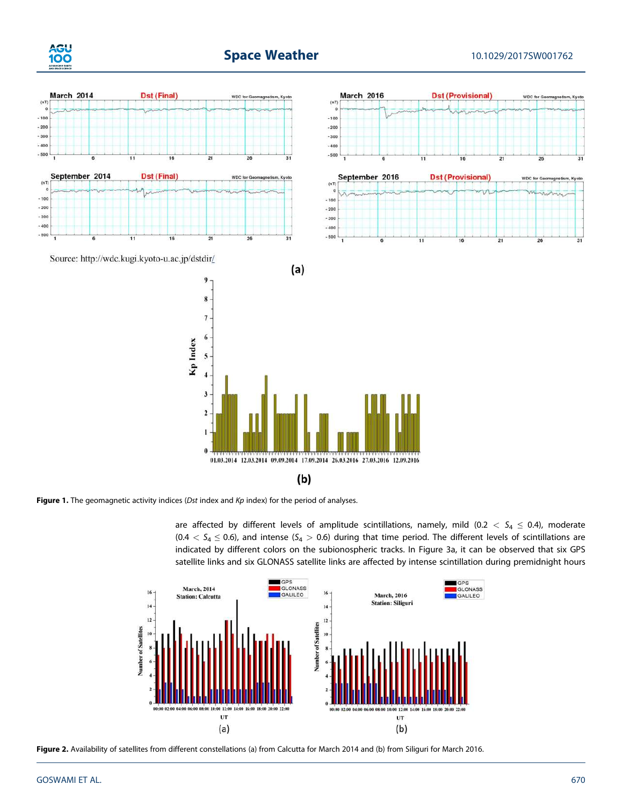





Figure 1. The geomagnetic activity indices (Dst index and  $Kp$  index) for the period of analyses.

are affected by different levels of amplitude scintillations, namely, mild (0.2  $<$  S<sub>4</sub>  $\leq$  0.4), moderate  $(0.4 < S_4 \le 0.6)$ , and intense (S<sub>4</sub> > 0.6) during that time period. The different levels of scintillations are indicated by different colors on the subionospheric tracks. In Figure 3a, it can be observed that six GPS satellite links and six GLONASS satellite links are affected by intense scintillation during premidnight hours



Figure 2. Availability of satellites from different constellations (a) from Calcutta for March 2014 and (b) from Siliguri for March 2016.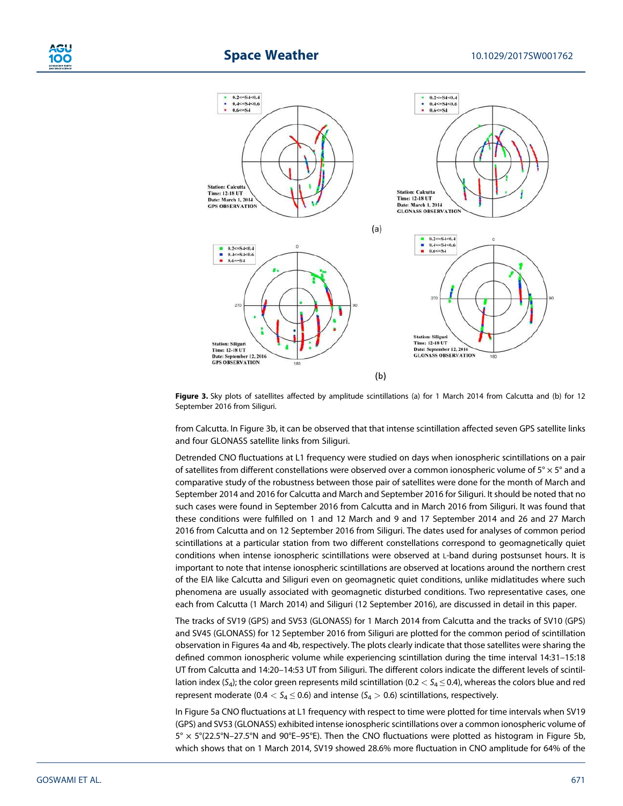

## **Space Weather 10.1029/2017SW001762**



Figure 3. Sky plots of satellites affected by amplitude scintillations (a) for 1 March 2014 from Calcutta and (b) for 12 September 2016 from Siliguri.

from Calcutta. In Figure 3b, it can be observed that that intense scintillation affected seven GPS satellite links and four GLONASS satellite links from Siliguri.

Detrended CNO fluctuations at L1 frequency were studied on days when ionospheric scintillations on a pair of satellites from different constellations were observed over a common ionospheric volume of  $5^\circ \times 5^\circ$  and a comparative study of the robustness between those pair of satellites were done for the month of March and September 2014 and 2016 for Calcutta and March and September 2016 for Siliguri. It should be noted that no such cases were found in September 2016 from Calcutta and in March 2016 from Siliguri. It was found that these conditions were fulfilled on 1 and 12 March and 9 and 17 September 2014 and 26 and 27 March 2016 from Calcutta and on 12 September 2016 from Siliguri. The dates used for analyses of common period scintillations at a particular station from two different constellations correspond to geomagnetically quiet conditions when intense ionospheric scintillations were observed at L-band during postsunset hours. It is important to note that intense ionospheric scintillations are observed at locations around the northern crest of the EIA like Calcutta and Siliguri even on geomagnetic quiet conditions, unlike midlatitudes where such phenomena are usually associated with geomagnetic disturbed conditions. Two representative cases, one each from Calcutta (1 March 2014) and Siliguri (12 September 2016), are discussed in detail in this paper.

The tracks of SV19 (GPS) and SV53 (GLONASS) for 1 March 2014 from Calcutta and the tracks of SV10 (GPS) and SV45 (GLONASS) for 12 September 2016 from Siliguri are plotted for the common period of scintillation observation in Figures 4a and 4b, respectively. The plots clearly indicate that those satellites were sharing the defined common ionospheric volume while experiencing scintillation during the time interval 14:31–15:18 UT from Calcutta and 14:20–14:53 UT from Siliguri. The different colors indicate the different levels of scintillation index (S<sub>4</sub>); the color green represents mild scintillation (0.2  $<$  S<sub>4</sub>  $\leq$  0.4), whereas the colors blue and red represent moderate (0.4  $< S_4 \leq 0.6$ ) and intense ( $S_4 > 0.6$ ) scintillations, respectively.

In Figure 5a CNO fluctuations at L1 frequency with respect to time were plotted for time intervals when SV19 (GPS) and SV53 (GLONASS) exhibited intense ionospheric scintillations over a common ionospheric volume of  $5^{\circ} \times 5^{\circ}$ (22.5°N–27.5°N and 90°E–95°E). Then the CNO fluctuations were plotted as histogram in Figure 5b, which shows that on 1 March 2014, SV19 showed 28.6% more fluctuation in CNO amplitude for 64% of the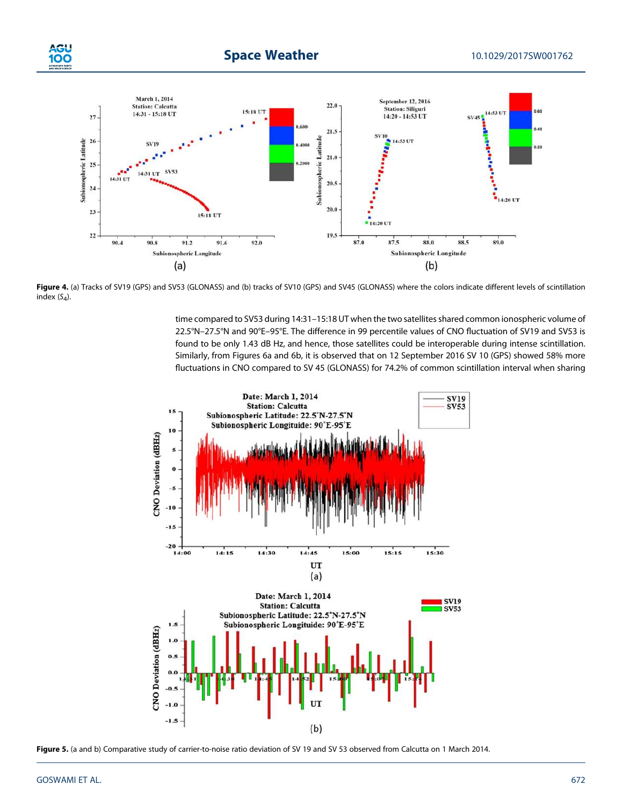

Figure 4. (a) Tracks of SV19 (GPS) and SV53 (GLONASS) and (b) tracks of SV10 (GPS) and SV45 (GLONASS) where the colors indicate different levels of scintillation index  $(S_4)$ .

time compared to SV53 during 14:31–15:18 UT when the two satellites shared common ionospheric volume of 22.5°N–27.5°N and 90°E–95°E. The difference in 99 percentile values of CNO fluctuation of SV19 and SV53 is found to be only 1.43 dB Hz, and hence, those satellites could be interoperable during intense scintillation. Similarly, from Figures 6a and 6b, it is observed that on 12 September 2016 SV 10 (GPS) showed 58% more fluctuations in CNO compared to SV 45 (GLONASS) for 74.2% of common scintillation interval when sharing



Figure 5. (a and b) Comparative study of carrier-to-noise ratio deviation of SV 19 and SV 53 observed from Calcutta on 1 March 2014.

**iGI** 100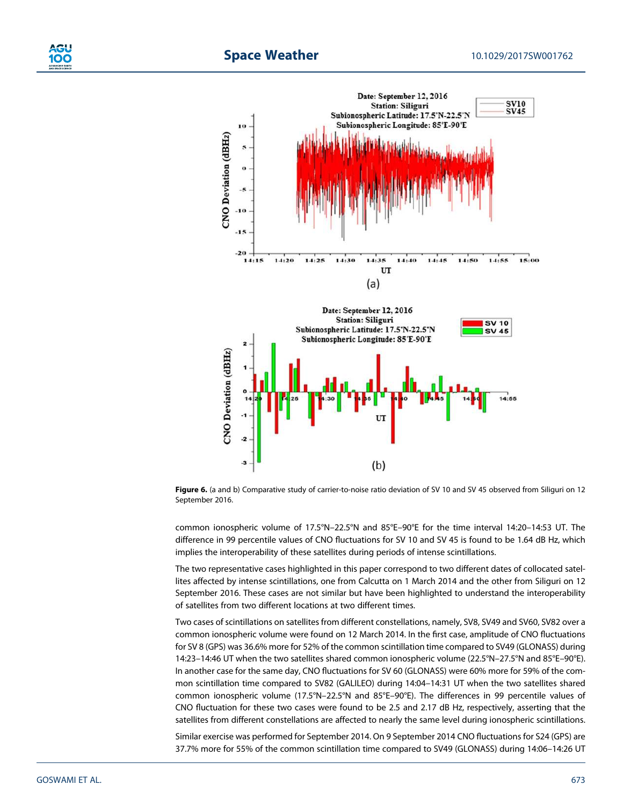



Figure 6. (a and b) Comparative study of carrier-to-noise ratio deviation of SV 10 and SV 45 observed from Siliguri on 12 September 2016.

common ionospheric volume of 17.5°N–22.5°N and 85°E–90°E for the time interval 14:20–14:53 UT. The difference in 99 percentile values of CNO fluctuations for SV 10 and SV 45 is found to be 1.64 dB Hz, which implies the interoperability of these satellites during periods of intense scintillations.

The two representative cases highlighted in this paper correspond to two different dates of collocated satellites affected by intense scintillations, one from Calcutta on 1 March 2014 and the other from Siliguri on 12 September 2016. These cases are not similar but have been highlighted to understand the interoperability of satellites from two different locations at two different times.

Two cases of scintillations on satellites from different constellations, namely, SV8, SV49 and SV60, SV82 over a common ionospheric volume were found on 12 March 2014. In the first case, amplitude of CNO fluctuations for SV 8 (GPS) was 36.6% more for 52% of the common scintillation time compared to SV49 (GLONASS) during 14:23–14:46 UT when the two satellites shared common ionospheric volume (22.5°N–27.5°N and 85°E–90°E). In another case for the same day, CNO fluctuations for SV 60 (GLONASS) were 60% more for 59% of the common scintillation time compared to SV82 (GALILEO) during 14:04–14:31 UT when the two satellites shared common ionospheric volume (17.5°N–22.5°N and 85°E–90°E). The differences in 99 percentile values of CNO fluctuation for these two cases were found to be 2.5 and 2.17 dB Hz, respectively, asserting that the satellites from different constellations are affected to nearly the same level during ionospheric scintillations.

Similar exercise was performed for September 2014. On 9 September 2014 CNO fluctuations for S24 (GPS) are 37.7% more for 55% of the common scintillation time compared to SV49 (GLONASS) during 14:06–14:26 UT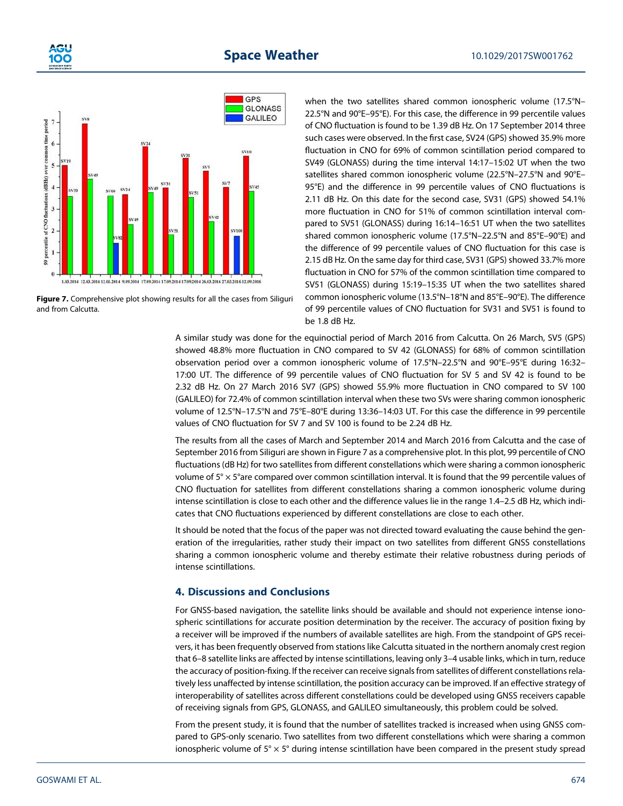





when the two satellites shared common ionospheric volume (17.5°N– 22.5°N and 90°E–95°E). For this case, the difference in 99 percentile values of CNO fluctuation is found to be 1.39 dB Hz. On 17 September 2014 three such cases were observed. In the first case, SV24 (GPS) showed 35.9% more fluctuation in CNO for 69% of common scintillation period compared to SV49 (GLONASS) during the time interval 14:17–15:02 UT when the two satellites shared common ionospheric volume (22.5°N–27.5°N and 90°E– 95°E) and the difference in 99 percentile values of CNO fluctuations is 2.11 dB Hz. On this date for the second case, SV31 (GPS) showed 54.1% more fluctuation in CNO for 51% of common scintillation interval compared to SV51 (GLONASS) during 16:14–16:51 UT when the two satellites shared common ionospheric volume (17.5°N–22.5°N and 85°E–90°E) and the difference of 99 percentile values of CNO fluctuation for this case is 2.15 dB Hz. On the same day for third case, SV31 (GPS) showed 33.7% more fluctuation in CNO for 57% of the common scintillation time compared to SV51 (GLONASS) during 15:19–15:35 UT when the two satellites shared common ionospheric volume (13.5°N–18°N and 85°E–90°E). The difference of 99 percentile values of CNO fluctuation for SV31 and SV51 is found to be 1.8 dB Hz.

A similar study was done for the equinoctial period of March 2016 from Calcutta. On 26 March, SV5 (GPS) showed 48.8% more fluctuation in CNO compared to SV 42 (GLONASS) for 68% of common scintillation observation period over a common ionospheric volume of 17.5°N–22.5°N and 90°E–95°E during 16:32– 17:00 UT. The difference of 99 percentile values of CNO fluctuation for SV 5 and SV 42 is found to be 2.32 dB Hz. On 27 March 2016 SV7 (GPS) showed 55.9% more fluctuation in CNO compared to SV 100 (GALILEO) for 72.4% of common scintillation interval when these two SVs were sharing common ionospheric volume of 12.5°N–17.5°N and 75°E–80°E during 13:36–14:03 UT. For this case the difference in 99 percentile values of CNO fluctuation for SV 7 and SV 100 is found to be 2.24 dB Hz.

The results from all the cases of March and September 2014 and March 2016 from Calcutta and the case of September 2016 from Siliguri are shown in Figure 7 as a comprehensive plot. In this plot, 99 percentile of CNO fluctuations (dB Hz) for two satellites from different constellations which were sharing a common ionospheric volume of 5° × 5°are compared over common scintillation interval. It is found that the 99 percentile values of CNO fluctuation for satellites from different constellations sharing a common ionospheric volume during intense scintillation is close to each other and the difference values lie in the range 1.4–2.5 dB Hz, which indicates that CNO fluctuations experienced by different constellations are close to each other.

It should be noted that the focus of the paper was not directed toward evaluating the cause behind the generation of the irregularities, rather study their impact on two satellites from different GNSS constellations sharing a common ionospheric volume and thereby estimate their relative robustness during periods of intense scintillations.

### 4. Discussions and Conclusions

For GNSS-based navigation, the satellite links should be available and should not experience intense ionospheric scintillations for accurate position determination by the receiver. The accuracy of position fixing by a receiver will be improved if the numbers of available satellites are high. From the standpoint of GPS receivers, it has been frequently observed from stations like Calcutta situated in the northern anomaly crest region that 6–8 satellite links are affected by intense scintillations, leaving only 3–4 usable links, which in turn, reduce the accuracy of position-fixing. If the receiver can receive signals from satellites of different constellations relatively less unaffected by intense scintillation, the position accuracy can be improved. If an effective strategy of interoperability of satellites across different constellations could be developed using GNSS receivers capable of receiving signals from GPS, GLONASS, and GALILEO simultaneously, this problem could be solved.

From the present study, it is found that the number of satellites tracked is increased when using GNSS compared to GPS-only scenario. Two satellites from two different constellations which were sharing a common ionospheric volume of  $5^\circ \times 5^\circ$  during intense scintillation have been compared in the present study spread